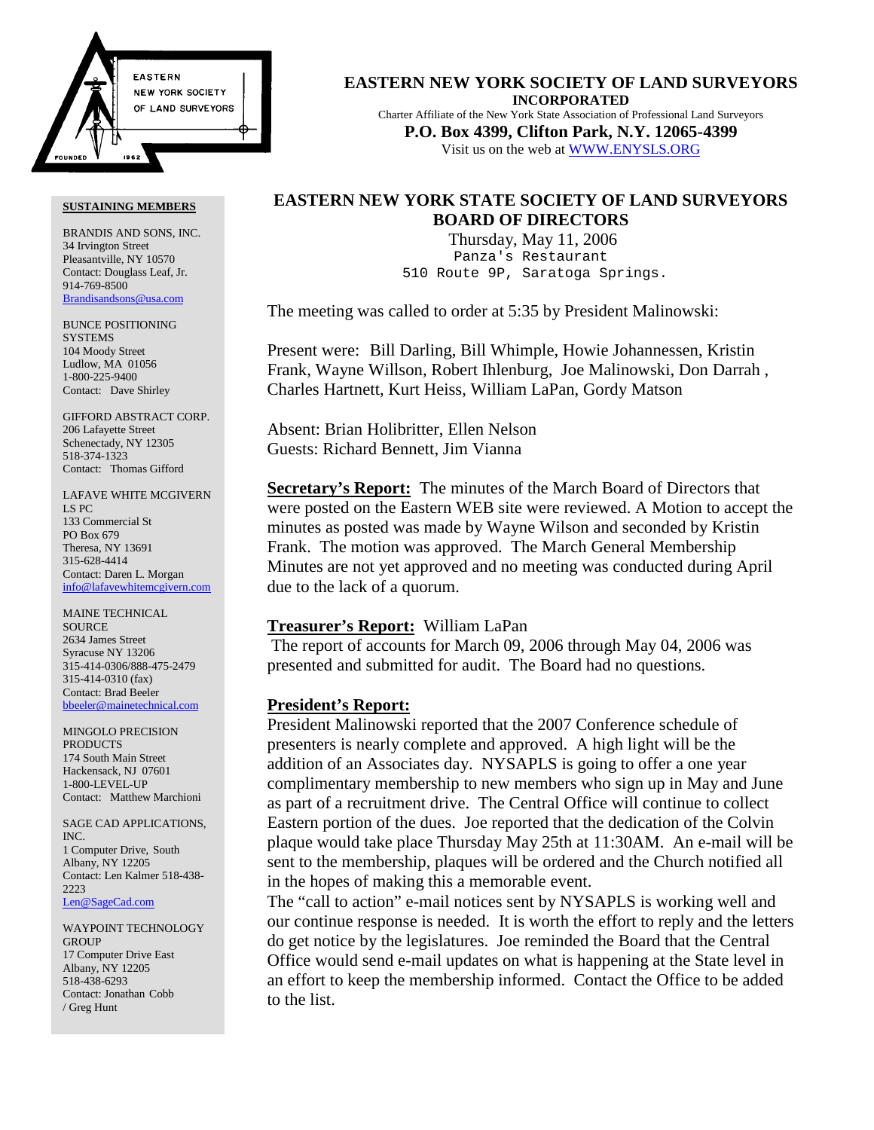

#### **EASTERN NEW YORK SOCIETY OF LAND SURVEYORS INCORPORATED** Charter Affiliate of the New York State Association of Professional Land Surveyors

**P.O. Box 4399, Clifton Park, N.Y. 12065-4399** Visit us on the web at WWW.ENYSLS.ORG

# **EASTERN NEW YORK STATE SOCIETY OF LAND SURVEYORS BOARD OF DIRECTORS**

 Thursday, May 11, 2006 Panza's Restaurant 510 Route 9P, Saratoga Springs.

The meeting was called to order at 5:35 by President Malinowski:

Present were: Bill Darling, Bill Whimple, Howie Johannessen, Kristin Frank, Wayne Willson, Robert Ihlenburg, Joe Malinowski, Don Darrah , Charles Hartnett, Kurt Heiss, William LaPan, Gordy Matson

Absent: Brian Holibritter, Ellen Nelson Guests: Richard Bennett, Jim Vianna

**Secretary's Report:** The minutes of the March Board of Directors that were posted on the Eastern WEB site were reviewed. A Motion to accept the minutes as posted was made by Wayne Wilson and seconded by Kristin Frank. The motion was approved. The March General Membership Minutes are not yet approved and no meeting was conducted during April due to the lack of a quorum.

# **Treasurer's Report:** William LaPan

 The report of accounts for March 09, 2006 through May 04, 2006 was presented and submitted for audit. The Board had no questions.

# **President's Report:**

President Malinowski reported that the 2007 Conference schedule of presenters is nearly complete and approved. A high light will be the addition of an Associates day. NYSAPLS is going to offer a one year complimentary membership to new members who sign up in May and June as part of a recruitment drive. The Central Office will continue to collect Eastern portion of the dues. Joe reported that the dedication of the Colvin plaque would take place Thursday May 25th at 11:30AM. An e-mail will be sent to the membership, plaques will be ordered and the Church notified all in the hopes of making this a memorable event.

The "call to action" e-mail notices sent by NYSAPLS is working well and our continue response is needed. It is worth the effort to reply and the letters do get notice by the legislatures. Joe reminded the Board that the Central Office would send e-mail updates on what is happening at the State level in an effort to keep the membership informed. Contact the Office to be added to the list.

#### **SUSTAINING MEMBERS**

BRANDIS AND SONS, INC. 34 Irvington Street Pleasantville, NY 10570 Contact: Douglass Leaf, Jr. 914-769-8500 Brandisandsons@usa.com

BUNCE POSITIONING **SYSTEMS** 104 Moody Street Ludlow, MA 01056 1-800-225-9400 Contact: Dave Shirley

GIFFORD ABSTRACT CORP. 206 Lafayette Street Schenectady, NY 12305 518-374-1323 Contact: Thomas Gifford

LAFAVE WHITE MCGIVERN LS PC 133 Commercial St PO Box 679 Theresa, NY 13691 315-628-4414 Contact: Daren L. Morgan info@lafavewhitemcgivern.com

MAINE TECHNICAL **SOURCE** 2634 James Street Syracuse NY 13206 315-414-0306/888-475-2479 315-414-0310 (fax) Contact: Brad Beeler bbeeler@mainetechnical.com

MINGOLO PRECISION PRODUCTS 174 South Main Street Hackensack, NJ 07601 1-800-LEVEL-UP Contact: Matthew Marchioni

SAGE CAD APPLICATIONS, INC. 1 Computer Drive, South Albany, NY 12205 Contact: Len Kalmer 518-438- 2223 Len@SageCad.com

WAYPOINT TECHNOLOGY **GROUP** 17 Computer Drive East Albany, NY 12205 518-438-6293 Contact: Jonathan Cobb / Greg Hunt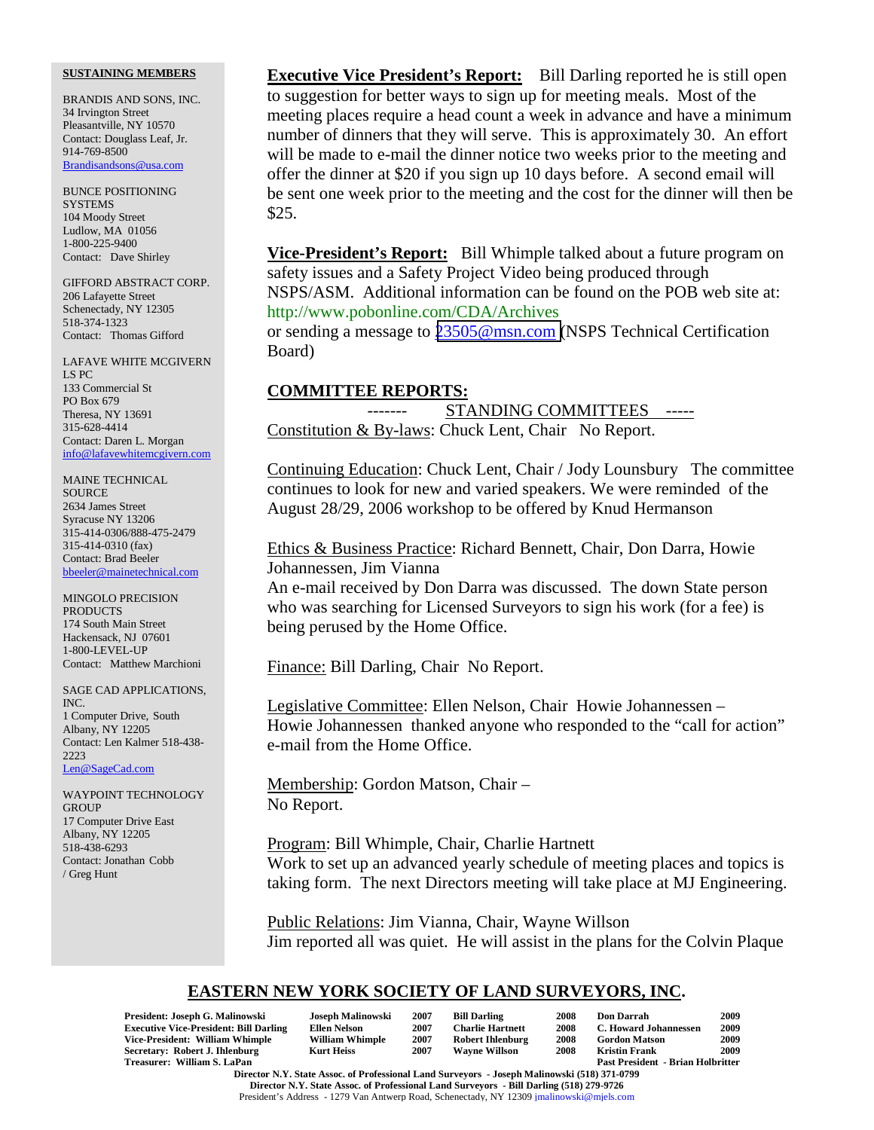#### **SUSTAINING MEMBERS**

BRANDIS AND SONS, INC. 34 Irvington Street Pleasantville, NY 10570 Contact: Douglass Leaf, Jr. 914-769-8500 Brandisandsons@usa.com

BUNCE POSITIONING **SYSTEMS** 104 Moody Street Ludlow, MA 01056 1-800-225-9400 Contact: Dave Shirley

GIFFORD ABSTRACT CORP. 206 Lafayette Street Schenectady, NY 12305 518-374-1323 Contact: Thomas Gifford

LAFAVE WHITE MCGIVERN LS PC 133 Commercial St PO Box 679 Theresa, NY 13691 315-628-4414 Contact: Daren L. Morgan info@lafavewhitemcgivern.com

MAINE TECHNICAL **SOURCE** 2634 James Street Syracuse NY 13206 315-414-0306/888-475-2479 315-414-0310 (fax) Contact: Brad Beeler bbeeler@mainetechnical.com

MINGOLO PRECISION PRODUCTS 174 South Main Street Hackensack, NJ 07601 1-800-LEVEL-UP Contact: Matthew Marchioni

SAGE CAD APPLICATIONS, INC. 1 Computer Drive, South Albany, NY 12205 Contact: Len Kalmer 518-438- 2223 Len@SageCad.com

WAYPOINT TECHNOLOGY **GROUP** 17 Computer Drive East Albany, NY 12205 518-438-6293 Contact: Jonathan Cobb / Greg Hunt

**Executive Vice President's Report:** Bill Darling reported he is still open to suggestion for better ways to sign up for meeting meals. Most of the meeting places require a head count a week in advance and have a minimum number of dinners that they will serve. This is approximately 30. An effort will be made to e-mail the dinner notice two weeks prior to the meeting and offer the dinner at \$20 if you sign up 10 days before. A second email will be sent one week prior to the meeting and the cost for the dinner will then be \$25.

**Vice-President's Report:** Bill Whimple talked about a future program on safety issues and a Safety Project Video being produced through NSPS/ASM. Additional information can be found on the POB web site at: http://www.pobonline.com/CDA/Archives

or sending a message to [23505@msn.com \(](mailto:23505@msn.com)NSPS Technical Certification Board)

### **COMMITTEE REPORTS:**

STANDING COMMITTEES -----Constitution & By-laws: Chuck Lent, Chair No Report.

Continuing Education: Chuck Lent, Chair / Jody Lounsbury The committee continues to look for new and varied speakers. We were reminded of the August 28/29, 2006 workshop to be offered by Knud Hermanson

Ethics & Business Practice: Richard Bennett, Chair, Don Darra, Howie Johannessen, Jim Vianna

An e-mail received by Don Darra was discussed. The down State person who was searching for Licensed Surveyors to sign his work (for a fee) is being perused by the Home Office.

Finance: Bill Darling, Chair No Report.

Legislative Committee: Ellen Nelson, Chair Howie Johannessen – Howie Johannessen thanked anyone who responded to the "call for action" e-mail from the Home Office.

Membership: Gordon Matson, Chair – No Report.

Program: Bill Whimple, Chair, Charlie Hartnett Work to set up an advanced yearly schedule of meeting places and topics is taking form. The next Directors meeting will take place at MJ Engineering.

Public Relations: Jim Vianna, Chair, Wayne Willson Jim reported all was quiet. He will assist in the plans for the Colvin Plaque

# **EASTERN NEW YORK SOCIETY OF LAND SURVEYORS, INC.**

| President: Joseph G. Malinowski                                                              | Joseph Malinowski      | 2007 | <b>Bill Darling</b>     | 2008 | <b>Don Darrah</b>                        | 2009 |
|----------------------------------------------------------------------------------------------|------------------------|------|-------------------------|------|------------------------------------------|------|
| <b>Executive Vice-President: Bill Darling</b>                                                | Ellen Nelson           | 2007 | <b>Charlie Hartnett</b> | 2008 | C. Howard Johannessen                    | 2009 |
| Vice-President: William Whimple                                                              | <b>William Whimple</b> | 2007 | <b>Robert Ihlenburg</b> | 2008 | <b>Gordon Matson</b>                     | 2009 |
| Secretary: Robert J. Ihlenburg                                                               | <b>Kurt Heiss</b>      | 2007 | <b>Wavne Willson</b>    | 2008 | <b>Kristin Frank</b>                     | 2009 |
| Treasurer: William S. LaPan                                                                  |                        |      |                         |      | <b>Past President - Brian Holbritter</b> |      |
| Director N.V. State Assoc. of Professional Land Surveyors - Joseph Malinowski (518) 371-0700 |                        |      |                         |      |                                          |      |

**Director N.Y. State Assoc. of Professional Land Surveyors - Joseph Malinowski (518) 371-0799 Director N.Y. State Assoc. of Professional Land Surveyors - Bill Darling (518) 279-9726** President's Address - 1279 Van Antwerp Road, Schenectady, NY 12309 jmalinowski@mjels.com